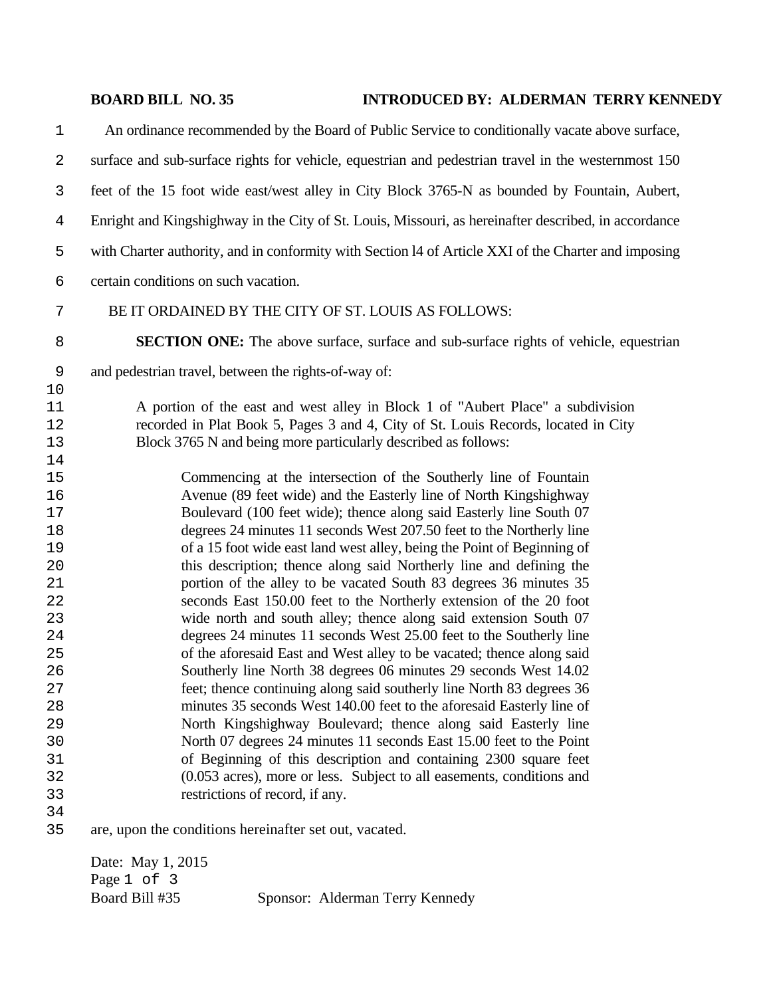## **BOARD BILL NO. 35 INTRODUCED BY: ALDERMAN TERRY KENNEDY**

An ordinance recommended by the Board of Public Service to conditionally vacate above surface, surface and sub-surface rights for vehicle, equestrian and pedestrian travel in the westernmost 150 feet of the 15 foot wide east/west alley in City Block 3765-N as bounded by Fountain, Aubert, Enright and Kingshighway in the City of St. Louis, Missouri, as hereinafter described, in accordance with Charter authority, and in conformity with Section l4 of Article XXI of the Charter and imposing certain conditions on such vacation. BE IT ORDAINED BY THE CITY OF ST. LOUIS AS FOLLOWS: **SECTION ONE:** The above surface, surface and sub-surface rights of vehicle, equestrian and pedestrian travel, between the rights-of-way of: A portion of the east and west alley in Block 1 of "Aubert Place" a subdivision recorded in Plat Book 5, Pages 3 and 4, City of St. Louis Records, located in City Block 3765 N and being more particularly described as follows: Commencing at the intersection of the Southerly line of Fountain Avenue (89 feet wide) and the Easterly line of North Kingshighway Boulevard (100 feet wide); thence along said Easterly line South 07 degrees 24 minutes 11 seconds West 207.50 feet to the Northerly line of a 15 foot wide east land west alley, being the Point of Beginning of this description; thence along said Northerly line and defining the portion of the alley to be vacated South 83 degrees 36 minutes 35 seconds East 150.00 feet to the Northerly extension of the 20 foot wide north and south alley; thence along said extension South 07 degrees 24 minutes 11 seconds West 25.00 feet to the Southerly line of the aforesaid East and West alley to be vacated; thence along said Southerly line North 38 degrees 06 minutes 29 seconds West 14.02 feet; thence continuing along said southerly line North 83 degrees 36 minutes 35 seconds West 140.00 feet to the aforesaid Easterly line of North Kingshighway Boulevard; thence along said Easterly line North 07 degrees 24 minutes 11 seconds East 15.00 feet to the Point of Beginning of this description and containing 2300 square feet (0.053 acres), more or less. Subject to all easements, conditions and restrictions of record, if any. are, upon the conditions hereinafter set out, vacated.

Date: May 1, 2015 Page 1 of 3 Board Bill #35 Sponsor: Alderman Terry Kennedy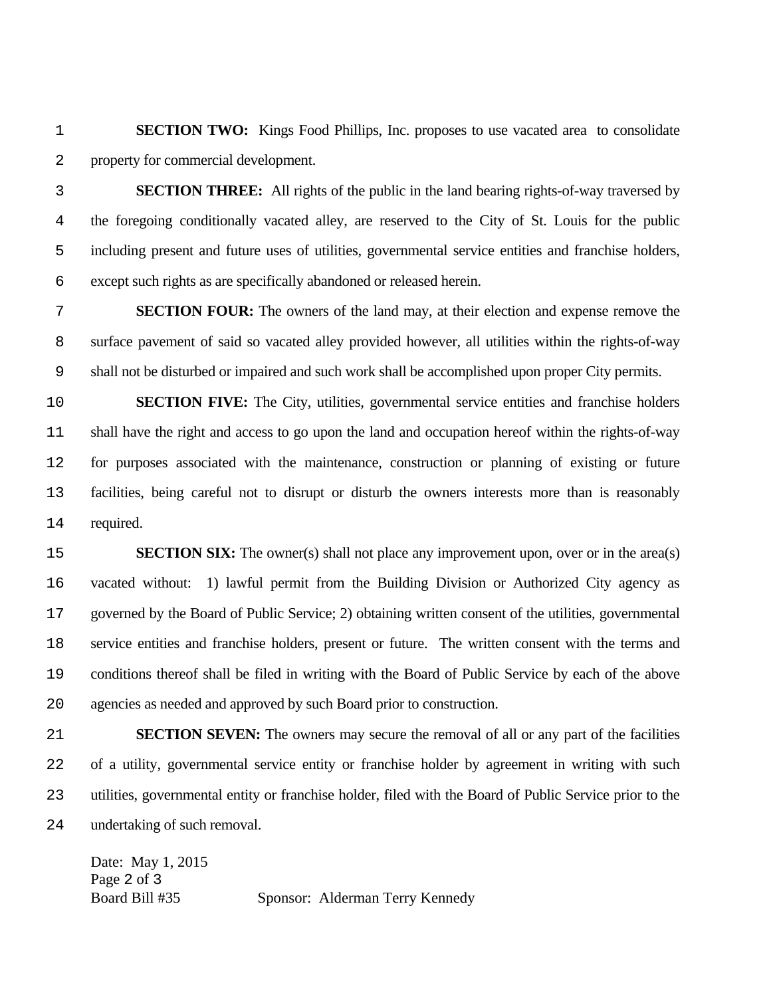**SECTION TWO:** Kings Food Phillips, Inc. proposes to use vacated area to consolidate property for commercial development.

**SECTION THREE:** All rights of the public in the land bearing rights-of-way traversed by the foregoing conditionally vacated alley, are reserved to the City of St. Louis for the public including present and future uses of utilities, governmental service entities and franchise holders, except such rights as are specifically abandoned or released herein.

**SECTION FOUR:** The owners of the land may, at their election and expense remove the surface pavement of said so vacated alley provided however, all utilities within the rights-of-way shall not be disturbed or impaired and such work shall be accomplished upon proper City permits.

**SECTION FIVE:** The City, utilities, governmental service entities and franchise holders shall have the right and access to go upon the land and occupation hereof within the rights-of-way for purposes associated with the maintenance, construction or planning of existing or future facilities, being careful not to disrupt or disturb the owners interests more than is reasonably required.

**SECTION SIX:** The owner(s) shall not place any improvement upon, over or in the area(s) vacated without: 1) lawful permit from the Building Division or Authorized City agency as governed by the Board of Public Service; 2) obtaining written consent of the utilities, governmental service entities and franchise holders, present or future. The written consent with the terms and conditions thereof shall be filed in writing with the Board of Public Service by each of the above agencies as needed and approved by such Board prior to construction.

**SECTION SEVEN:** The owners may secure the removal of all or any part of the facilities of a utility, governmental service entity or franchise holder by agreement in writing with such utilities, governmental entity or franchise holder, filed with the Board of Public Service prior to the undertaking of such removal.

Date: May 1, 2015 Page 2 of 3 Board Bill #35 Sponsor: Alderman Terry Kennedy